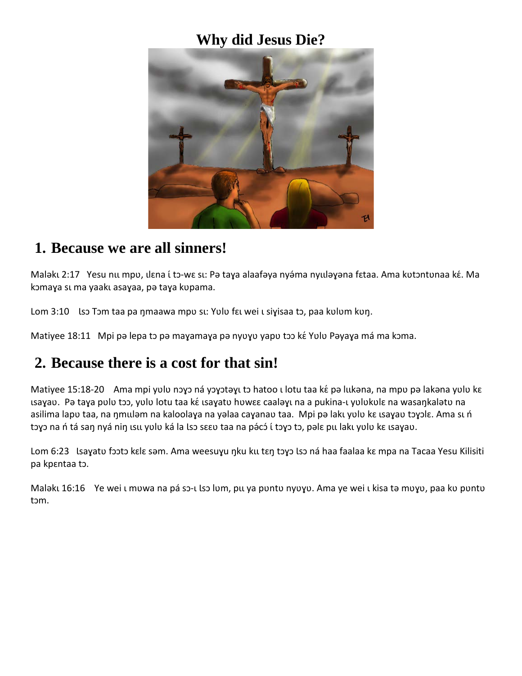### **Why did Jesus Die?**



#### **1. Because we are all sinners!**

Maləku 2:17 Yesu nu mpv, ılɛna í tɔ-wɛ su: Pə taya alaafəya nyə́ma nyuləyəna fɛtaa. Ama kʋtɔntʋnaa kɛ́. Ma kɔmaya sı ma yaakı asayaa, pə taya kupama.

Lom 3:10 Iso Tom taa pa ŋmaawa mpv su: Yulu fɛu wei u siyisaa tɔ, paa kulum kuŋ.

Matiyee 18:11 Mpi pə lepa to pə mayamaya pə nyuyu yapu too ké Yulu Pəyaya má ma koma.

# **2. Because there is a cost for that sin!**

Matiyee 15:18-20 Ama mpi yulu nəyə ná yəyətəyı tə hatoo ı lotu taa ké pə lukəna, na mpu pə lakəna yulu ke usayav. Pə taya pulu tɔɔ, yulu lotu taa kɛ́ usayatu huwɛɛ caaləyu na a pukina-u yulukulɛ na wasaŋkalətu na asilima lapu taa, na ŋmuləm na kaloolaya na yəlaa cayanau taa. Mpi pə lakı yulu kɛ ısayau tɔyɔlɛ. Ama sı ń tɔχɔ na ń tá saŋ nyá niŋ ιsιι yʋlʋ ká la lsɔ sɛɛʋ taa na pə́cɔ́ ί tɔχɔ tɔ, pəlɛ pιι lakı yʋlʋ kɛ ιsaɣaʋ.

Lom 6:23 Lsayatu footo kɛlɛ səm. Ama weesuyu ŋku ku tɛŋ tɔyɔ lsɔ ná haa faalaa kɛ mpa na Tacaa Yesu Kilisiti pa kpɛntaa tɔ.

Malǝku 16:16 Ye wei u mʋwa na pá sɔ-u lsɔ lʋm, pu ya pʊntʊ nyʊɣʊ. Ama ye wei u kisa tǝ mʊɣʊ, paa kʊ pʊntʊ tɔm.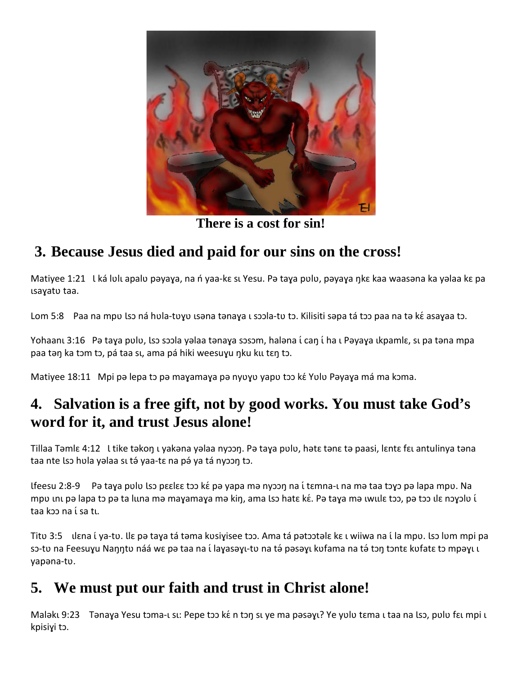

**There is a cost for sin!**

# **3. Because Jesus died and paid for our sins on the cross!**

Matiyee 1:21 Uká lulu apalu pəyaya, na n yaa-kɛ su Yesu. Pə taya pulu, pəyaya nkɛ kaa waasəna ka yəlaa kɛ pa ɩsaɣatʋ taa.

Lom 5:8 Paa na mpu lso ná hula-tuyu usəna tənaya u soola-tu to. Kilisiti səpa tá too paa na tə ké asayaa to.

Yohaanı 3:16 Pə taya pulu, lso soola yəlaa tənaya sosom, haləna í caŋ í ha ı Pəyaya ıkpamlɛ, sı pa təna mpa paa tən ka tɔm tɔ, pá taa sɪ, ama pá hiki weesuyu nku ku tɛn tɔ.

Matiyee 18:11 Mpi pə lepa to pə mayamaya pə nyuyu yapu too ké Yulu Pəyaya má ma koma.

# **4. Salvation is a free gift, not by good works. You must take God's word for it, and trust Jesus alone!**

Tillaa Tǝmlɛ 4:12 U tike tǝkoŋ ı yakǝna yǝlaa nyɔɔŋ. Pǝ taɣa pʋlʋ, hǝtɛ tǝnɛ tǝ paasi, lɛntɛ fɛı antulinya tǝna taa nte lso hula yalaa su tá yaa-tɛ na pá ya tá nyoon tɔ.

Ɩfeesu 2:8-9 Pə taɣa pʋlʋ Ɩsɔ pɛɛlɛɛ tɔɔ kɛ́pə yapa mə nyɔɔŋ na ɩ́tɛmna-ɩ na mə taa tɔɣɔ pə lapa mpʋ. Na mpu unu pə lapa tɔ pə ta luna mə mayamaya mə kin, ama lsɔ hatɛ kɛ́. Pə taya mə uwulɛ tɔɔ, pə tɔɔ ılɛ nɔyɔlu i taa kɔɔ na ɩ́sa tɩ.

Titu 3:5 ulεna ί ya-tu. Le pa taya tá tama kusiyisee tɔɔ. Ama tá patɔɔtəlɛ kɛ ι wiiwa na ί la mpu. Lsɔ lum mpi pa sɔ-tʋ na Feesuyu Naŋŋtʋ náá wɛ pə taa na í layasəyı-tv na tə́ pəsəyı kufama na tə́ tɔŋ tɔntɛ kufatɛ tɔ mpəyı ı yapəna-tʋ.

# **5. We must put our faith and trust in Christ alone!**

Malǝkı 9:23 Tǝnaɣa Yesu tɔma-ı sı: Pepe tɔɔ kɛ́n tɔŋ sɪ ye ma pǝsǝɣı? Ye yʋlʋ tɛma ɪ taa na lsɔ, pʋlʋ fɛɪ mpi ɪ kpisiɣi tɔ.